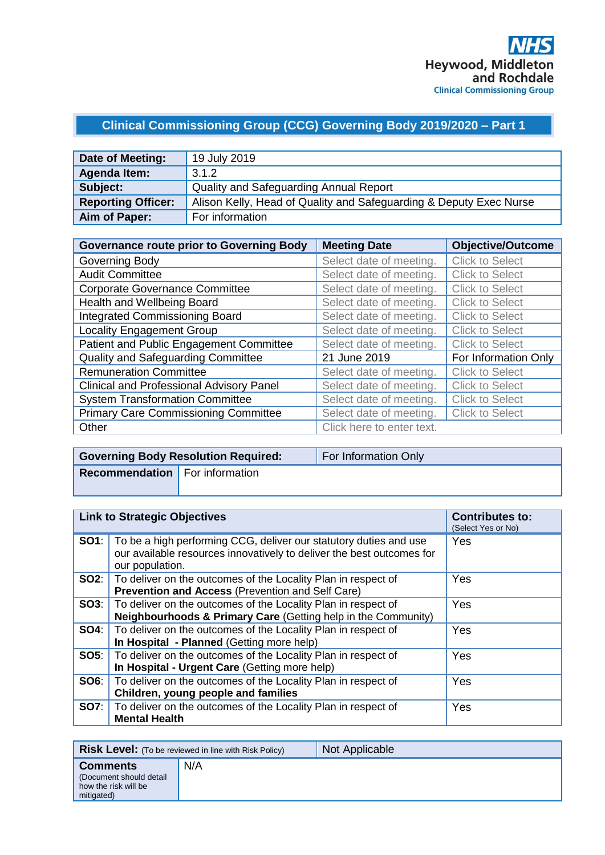### **Clinical Commissioning Group (CCG) Governing Body 2019/2020 – Part 1**

| Date of Meeting:          | 19 July 2019                                                       |
|---------------------------|--------------------------------------------------------------------|
| Agenda Item:              | 3.1.2                                                              |
| Subject:                  | Quality and Safeguarding Annual Report                             |
| <b>Reporting Officer:</b> | Alison Kelly, Head of Quality and Safeguarding & Deputy Exec Nurse |
| Aim of Paper:             | For information                                                    |

| <b>Governance route prior to Governing Body</b> | <b>Meeting Date</b>       | <b>Objective/Outcome</b> |
|-------------------------------------------------|---------------------------|--------------------------|
| Governing Body                                  | Select date of meeting.   | <b>Click to Select</b>   |
| <b>Audit Committee</b>                          | Select date of meeting.   | <b>Click to Select</b>   |
| <b>Corporate Governance Committee</b>           | Select date of meeting.   | <b>Click to Select</b>   |
| Health and Wellbeing Board                      | Select date of meeting.   | <b>Click to Select</b>   |
| <b>Integrated Commissioning Board</b>           | Select date of meeting.   | <b>Click to Select</b>   |
| <b>Locality Engagement Group</b>                | Select date of meeting.   | <b>Click to Select</b>   |
| Patient and Public Engagement Committee         | Select date of meeting.   | <b>Click to Select</b>   |
| Quality and Safeguarding Committee              | 21 June 2019              | For Information Only     |
| <b>Remuneration Committee</b>                   | Select date of meeting.   | <b>Click to Select</b>   |
| <b>Clinical and Professional Advisory Panel</b> | Select date of meeting.   | <b>Click to Select</b>   |
| <b>System Transformation Committee</b>          | Select date of meeting.   | <b>Click to Select</b>   |
| <b>Primary Care Commissioning Committee</b>     | Select date of meeting.   | <b>Click to Select</b>   |
| Other                                           | Click here to enter text. |                          |

|                                       | <b>Governing Body Resolution Required:</b> | For Information Only |
|---------------------------------------|--------------------------------------------|----------------------|
| <b>Recommendation</b> For information |                                            |                      |
|                                       |                                            |                      |

| <b>Link to Strategic Objectives</b> |                                                                                                                                                               | <b>Contributes to:</b><br>(Select Yes or No) |
|-------------------------------------|---------------------------------------------------------------------------------------------------------------------------------------------------------------|----------------------------------------------|
| SO1:                                | To be a high performing CCG, deliver our statutory duties and use<br>our available resources innovatively to deliver the best outcomes for<br>our population. | Yes                                          |
| SO2:                                | To deliver on the outcomes of the Locality Plan in respect of<br><b>Prevention and Access (Prevention and Self Care)</b>                                      | Yes                                          |
| SO3:                                | To deliver on the outcomes of the Locality Plan in respect of<br>Neighbourhoods & Primary Care (Getting help in the Community)                                | Yes                                          |
| <b>SO4:</b>                         | To deliver on the outcomes of the Locality Plan in respect of<br>In Hospital - Planned (Getting more help)                                                    | <b>Yes</b>                                   |
| <b>SO5:</b>                         | To deliver on the outcomes of the Locality Plan in respect of<br>In Hospital - Urgent Care (Getting more help)                                                | Yes                                          |
| SO6:                                | To deliver on the outcomes of the Locality Plan in respect of<br>Children, young people and families                                                          | Yes                                          |
| <b>SO7:</b>                         | To deliver on the outcomes of the Locality Plan in respect of<br><b>Mental Health</b>                                                                         | Yes                                          |

|                                                                                   | <b>Risk Level:</b> (To be reviewed in line with Risk Policy) | Not Applicable |
|-----------------------------------------------------------------------------------|--------------------------------------------------------------|----------------|
| <b>Comments</b><br>(Document should detail)<br>how the risk will be<br>mitigated) | N/A                                                          |                |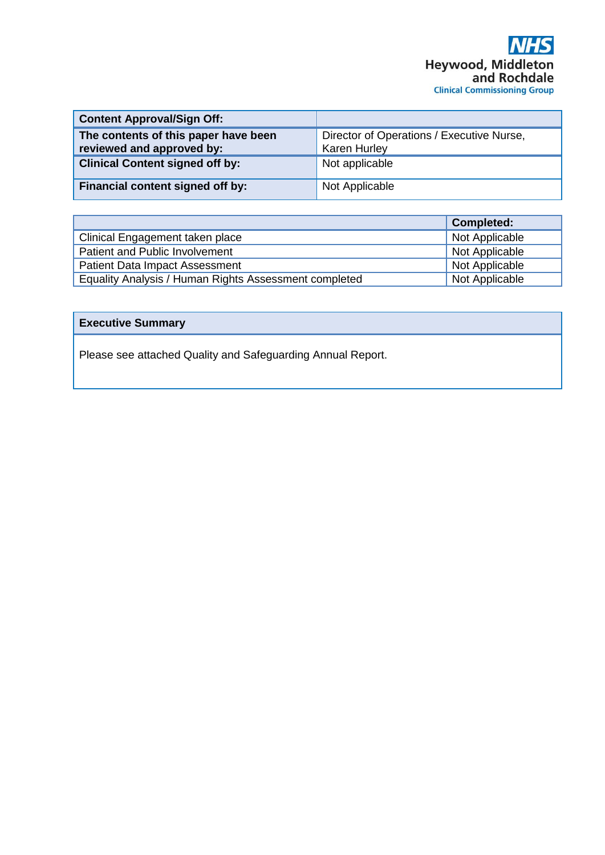| <b>Content Approval/Sign Off:</b>                                 |                                                                  |
|-------------------------------------------------------------------|------------------------------------------------------------------|
| The contents of this paper have been<br>reviewed and approved by: | Director of Operations / Executive Nurse,<br><b>Karen Hurley</b> |
| <b>Clinical Content signed off by:</b>                            | Not applicable                                                   |
| Financial content signed off by:                                  | Not Applicable                                                   |

|                                                       | Completed:     |
|-------------------------------------------------------|----------------|
| Clinical Engagement taken place                       | Not Applicable |
| Patient and Public Involvement                        | Not Applicable |
| <b>Patient Data Impact Assessment</b>                 | Not Applicable |
| Equality Analysis / Human Rights Assessment completed | Not Applicable |

### **Executive Summary**

Please see attached Quality and Safeguarding Annual Report.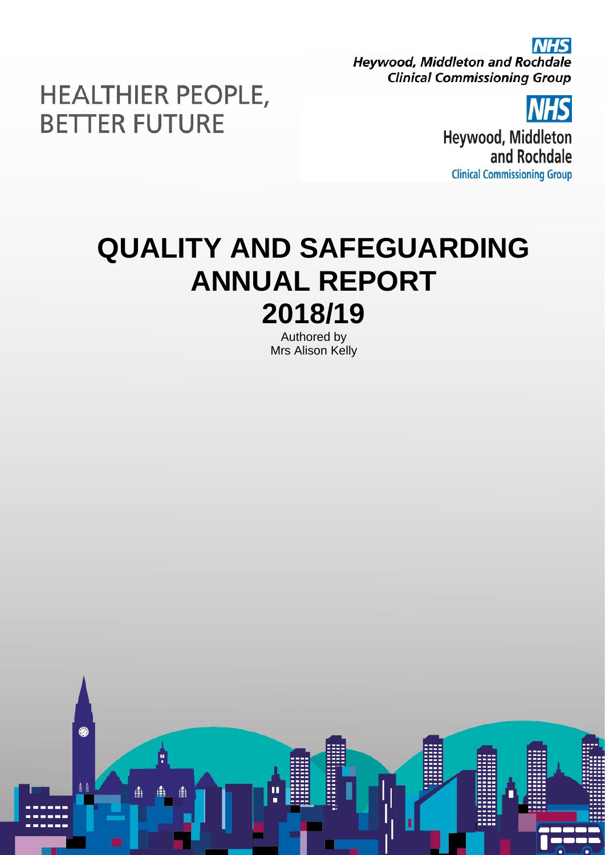**NHS Heywood, Middleton and Rochdale Clinical Commissioning Group** 

Heywood, Middleton and Rochdale **Clinical Commissioning Group** 

## **HEALTHIER PEOPLE, BETTER FUTURE**

# **QUALITY AND SAFEGUARDING ANNUAL REPORT 2018/19**

Authored by Mrs Alison Kelly

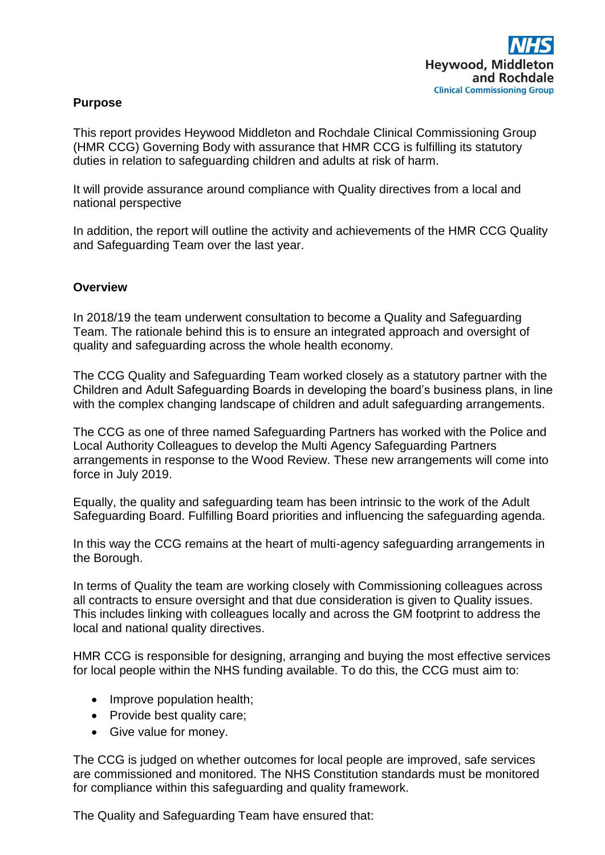#### **Purpose**

This report provides Heywood Middleton and Rochdale Clinical Commissioning Group (HMR CCG) Governing Body with assurance that HMR CCG is fulfilling its statutory duties in relation to safeguarding children and adults at risk of harm.

It will provide assurance around compliance with Quality directives from a local and national perspective

In addition, the report will outline the activity and achievements of the HMR CCG Quality and Safeguarding Team over the last year.

#### **Overview**

In 2018/19 the team underwent consultation to become a Quality and Safeguarding Team. The rationale behind this is to ensure an integrated approach and oversight of quality and safeguarding across the whole health economy.

The CCG Quality and Safeguarding Team worked closely as a statutory partner with the Children and Adult Safeguarding Boards in developing the board's business plans, in line with the complex changing landscape of children and adult safeguarding arrangements.

The CCG as one of three named Safeguarding Partners has worked with the Police and Local Authority Colleagues to develop the Multi Agency Safeguarding Partners arrangements in response to the Wood Review. These new arrangements will come into force in July 2019.

Equally, the quality and safeguarding team has been intrinsic to the work of the Adult Safeguarding Board. Fulfilling Board priorities and influencing the safeguarding agenda.

In this way the CCG remains at the heart of multi-agency safeguarding arrangements in the Borough.

In terms of Quality the team are working closely with Commissioning colleagues across all contracts to ensure oversight and that due consideration is given to Quality issues. This includes linking with colleagues locally and across the GM footprint to address the local and national quality directives.

HMR CCG is responsible for designing, arranging and buying the most effective services for local people within the NHS funding available. To do this, the CCG must aim to:

- Improve population health;
- Provide best quality care;
- Give value for money.

The CCG is judged on whether outcomes for local people are improved, safe services are commissioned and monitored. The NHS Constitution standards must be monitored for compliance within this safeguarding and quality framework.

The Quality and Safeguarding Team have ensured that: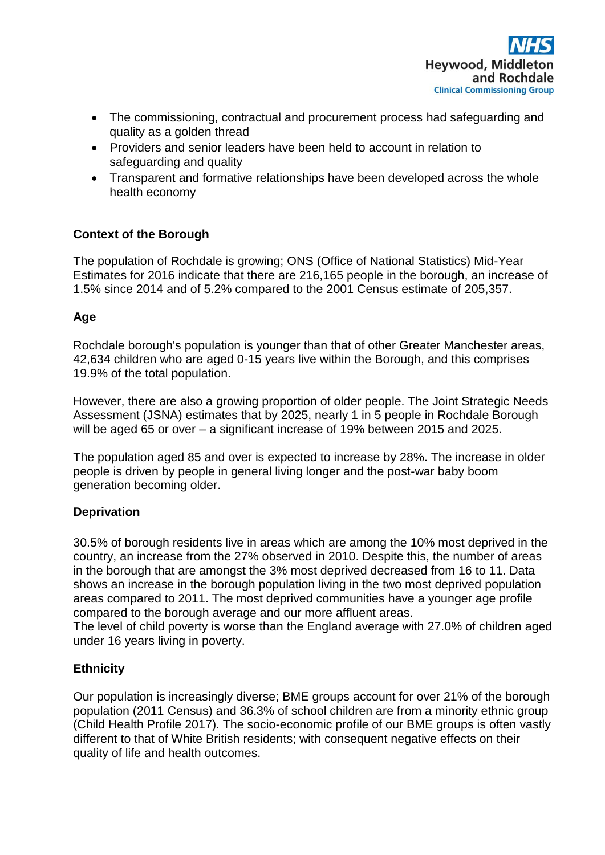- The commissioning, contractual and procurement process had safeguarding and quality as a golden thread
- Providers and senior leaders have been held to account in relation to safeguarding and quality
- Transparent and formative relationships have been developed across the whole health economy

#### **Context of the Borough**

The population of Rochdale is growing; ONS (Office of National Statistics) Mid-Year Estimates for 2016 indicate that there are 216,165 people in the borough, an increase of 1.5% since 2014 and of 5.2% compared to the 2001 Census estimate of 205,357.

#### **Age**

Rochdale borough's population is younger than that of other Greater Manchester areas, 42,634 children who are aged 0-15 years live within the Borough, and this comprises 19.9% of the total population.

However, there are also a growing proportion of older people. The Joint Strategic Needs Assessment (JSNA) estimates that by 2025, nearly 1 in 5 people in Rochdale Borough will be aged 65 or over – a significant increase of 19% between 2015 and 2025.

The population aged 85 and over is expected to increase by 28%. The increase in older people is driven by people in general living longer and the post-war baby boom generation becoming older.

#### **Deprivation**

30.5% of borough residents live in areas which are among the 10% most deprived in the country, an increase from the 27% observed in 2010. Despite this, the number of areas in the borough that are amongst the 3% most deprived decreased from 16 to 11. Data shows an increase in the borough population living in the two most deprived population areas compared to 2011. The most deprived communities have a younger age profile compared to the borough average and our more affluent areas.

The level of child poverty is worse than the England average with 27.0% of children aged under 16 years living in poverty.

#### **Ethnicity**

Our population is increasingly diverse; BME groups account for over 21% of the borough population (2011 Census) and 36.3% of school children are from a minority ethnic group (Child Health Profile 2017). The socio-economic profile of our BME groups is often vastly different to that of White British residents; with consequent negative effects on their quality of life and health outcomes.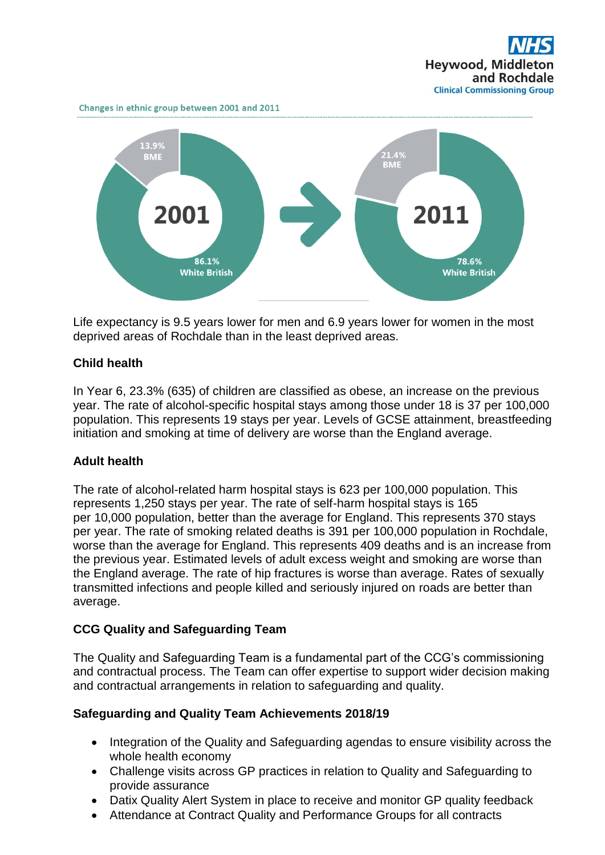

Changes in ethnic group between 2001 and 2011



Life expectancy is 9.5 years lower for men and 6.9 years lower for women in the most deprived areas of Rochdale than in the least deprived areas.

#### **Child health**

In Year 6, 23.3% (635) of children are classified as obese, an increase on the previous year. The rate of alcohol-specific hospital stays among those under 18 is 37 per 100,000 population. This represents 19 stays per year. Levels of GCSE attainment, breastfeeding initiation and smoking at time of delivery are worse than the England average.

#### **Adult health**

The rate of alcohol-related harm hospital stays is 623 per 100,000 population. This represents 1,250 stays per year. The rate of self-harm hospital stays is 165 per 10,000 population, better than the average for England. This represents 370 stays per year. The rate of smoking related deaths is 391 per 100,000 population in Rochdale, worse than the average for England. This represents 409 deaths and is an increase from the previous year. Estimated levels of adult excess weight and smoking are worse than the England average. The rate of hip fractures is worse than average. Rates of sexually transmitted infections and people killed and seriously injured on roads are better than average.

#### **CCG Quality and Safeguarding Team**

The Quality and Safeguarding Team is a fundamental part of the CCG's commissioning and contractual process. The Team can offer expertise to support wider decision making and contractual arrangements in relation to safeguarding and quality.

#### **Safeguarding and Quality Team Achievements 2018/19**

- Integration of the Quality and Safeguarding agendas to ensure visibility across the whole health economy
- Challenge visits across GP practices in relation to Quality and Safeguarding to provide assurance
- Datix Quality Alert System in place to receive and monitor GP quality feedback
- Attendance at Contract Quality and Performance Groups for all contracts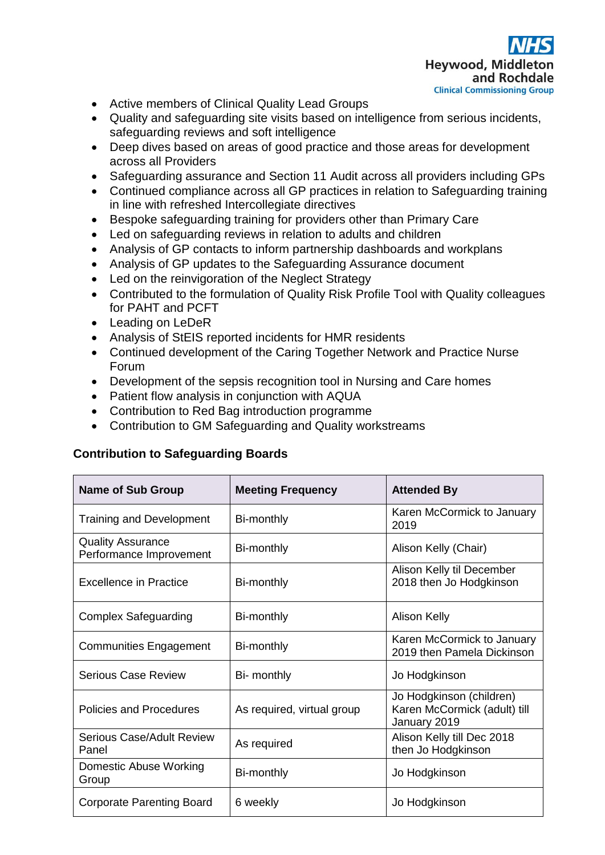- Active members of Clinical Quality Lead Groups
- Quality and safeguarding site visits based on intelligence from serious incidents, safeguarding reviews and soft intelligence
- Deep dives based on areas of good practice and those areas for development across all Providers
- Safeguarding assurance and Section 11 Audit across all providers including GPs
- Continued compliance across all GP practices in relation to Safeguarding training in line with refreshed Intercollegiate directives
- Bespoke safeguarding training for providers other than Primary Care
- Led on safeguarding reviews in relation to adults and children
- Analysis of GP contacts to inform partnership dashboards and workplans
- Analysis of GP updates to the Safeguarding Assurance document
- Led on the reinvigoration of the Neglect Strategy
- Contributed to the formulation of Quality Risk Profile Tool with Quality colleagues for PAHT and PCFT
- Leading on LeDeR
- Analysis of StEIS reported incidents for HMR residents
- Continued development of the Caring Together Network and Practice Nurse Forum
- Development of the sepsis recognition tool in Nursing and Care homes
- Patient flow analysis in conjunction with AQUA
- Contribution to Red Bag introduction programme
- Contribution to GM Safeguarding and Quality workstreams

#### **Contribution to Safeguarding Boards**

| <b>Name of Sub Group</b>                            | <b>Meeting Frequency</b>   | <b>Attended By</b>                                                       |
|-----------------------------------------------------|----------------------------|--------------------------------------------------------------------------|
| <b>Training and Development</b>                     | Bi-monthly                 | Karen McCormick to January<br>2019                                       |
| <b>Quality Assurance</b><br>Performance Improvement | Bi-monthly                 | Alison Kelly (Chair)                                                     |
| Excellence in Practice                              | Bi-monthly                 | Alison Kelly til December<br>2018 then Jo Hodgkinson                     |
| <b>Complex Safeguarding</b>                         | Bi-monthly                 | <b>Alison Kelly</b>                                                      |
| <b>Communities Engagement</b>                       | Bi-monthly                 | Karen McCormick to January<br>2019 then Pamela Dickinson                 |
| <b>Serious Case Review</b>                          | Bi- monthly                | Jo Hodgkinson                                                            |
| Policies and Procedures                             | As required, virtual group | Jo Hodgkinson (children)<br>Karen McCormick (adult) till<br>January 2019 |
| Serious Case/Adult Review<br>Panel                  | As required                | Alison Kelly till Dec 2018<br>then Jo Hodgkinson                         |
| Domestic Abuse Working<br>Group                     | Bi-monthly                 | Jo Hodgkinson                                                            |
| <b>Corporate Parenting Board</b>                    | 6 weekly                   | Jo Hodgkinson                                                            |